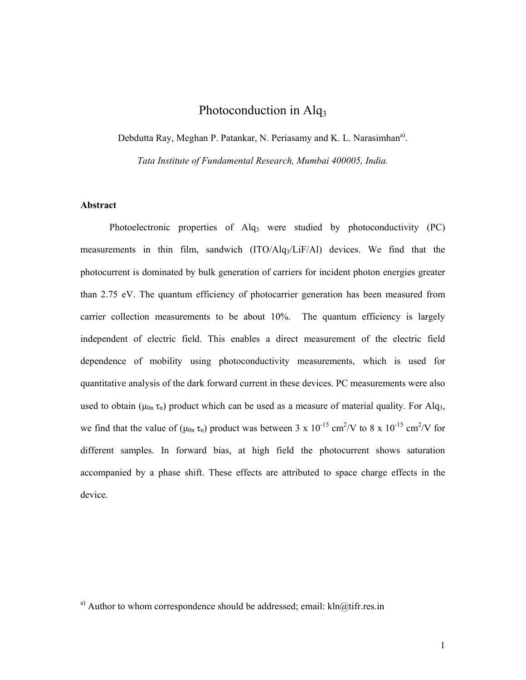# Photoconduction in Alq<sub>3</sub>

Debdutta Ray, Meghan P. Patankar, N. Periasamy and K. L. Narasimhan<sup>a)</sup>.

*Tata Institute of Fundamental Research, Mumbai 400005, India.* 

# **Abstract**

Photoelectronic properties of Alq<sub>3</sub> were studied by photoconductivity (PC) measurements in thin film, sandwich (ITO/Alq3/LiF/Al) devices. We find that the photocurrent is dominated by bulk generation of carriers for incident photon energies greater than 2.75 eV. The quantum efficiency of photocarrier generation has been measured from carrier collection measurements to be about 10%. The quantum efficiency is largely independent of electric field. This enables a direct measurement of the electric field dependence of mobility using photoconductivity measurements, which is used for quantitative analysis of the dark forward current in these devices. PC measurements were also used to obtain ( $\mu_{0n} \tau_n$ ) product which can be used as a measure of material quality. For Alq<sub>3</sub>, we find that the value of  $(\mu_{0n} \tau_n)$  product was between 3 x 10<sup>-15</sup> cm<sup>2</sup>/V to 8 x 10<sup>-15</sup> cm<sup>2</sup>/V for different samples. In forward bias, at high field the photocurrent shows saturation accompanied by a phase shift. These effects are attributed to space charge effects in the device.

<sup>a)</sup> Author to whom correspondence should be addressed; email:  $kln@t$ ifr.res.in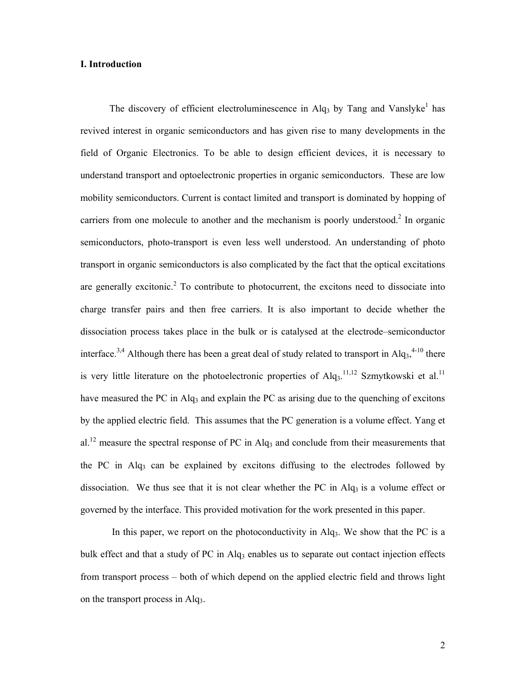# **I. Introduction**

The discovery of efficient electroluminescence in Alq<sub>3</sub> by Tang and Vanslyke<sup>1</sup> has revived interest in organic semiconductors and has given rise to many developments in the field of Organic Electronics. To be able to design efficient devices, it is necessary to understand transport and optoelectronic properties in organic semiconductors. These are low mobility semiconductors. Current is contact limited and transport is dominated by hopping of carriers from one molecule to another and the mechanism is poorly understood.<sup>2</sup> In organic semiconductors, photo-transport is even less well understood. An understanding of photo transport in organic semiconductors is also complicated by the fact that the optical excitations are generally excitonic.<sup>2</sup> To contribute to photocurrent, the excitons need to dissociate into charge transfer pairs and then free carriers. It is also important to decide whether the dissociation process takes place in the bulk or is catalysed at the electrode–semiconductor interface.<sup>3,4</sup> Although there has been a great deal of study related to transport in  $Alq<sub>3</sub>$ ,<sup>4-10</sup> there is very little literature on the photoelectronic properties of  $Alq<sub>3</sub>$ .<sup>11,12</sup> Szmytkowski et al.<sup>11</sup> have measured the PC in Alq<sub>3</sub> and explain the PC as arising due to the quenching of excitons by the applied electric field. This assumes that the PC generation is a volume effect. Yang et al.<sup>12</sup> measure the spectral response of PC in Alq<sub>3</sub> and conclude from their measurements that the PC in Alq<sub>3</sub> can be explained by excitons diffusing to the electrodes followed by dissociation. We thus see that it is not clear whether the PC in Alq<sub>3</sub> is a volume effect or governed by the interface. This provided motivation for the work presented in this paper.

In this paper, we report on the photoconductivity in Alq<sub>3</sub>. We show that the PC is a bulk effect and that a study of PC in  $\text{Alg}_3$  enables us to separate out contact injection effects from transport process – both of which depend on the applied electric field and throws light on the transport process in Alq3.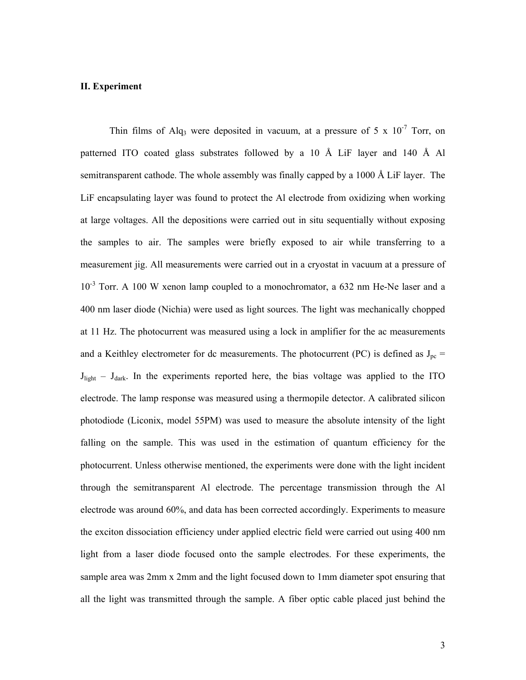#### **II. Experiment**

Thin films of Alq<sub>3</sub> were deposited in vacuum, at a pressure of 5 x  $10^{-7}$  Torr, on patterned ITO coated glass substrates followed by a 10 Å LiF layer and 140 Å Al semitransparent cathode. The whole assembly was finally capped by a 1000 Å LiF layer. The LiF encapsulating layer was found to protect the Al electrode from oxidizing when working at large voltages. All the depositions were carried out in situ sequentially without exposing the samples to air. The samples were briefly exposed to air while transferring to a measurement jig. All measurements were carried out in a cryostat in vacuum at a pressure of  $10^{-3}$  Torr. A 100 W xenon lamp coupled to a monochromator, a 632 nm He-Ne laser and a 400 nm laser diode (Nichia) were used as light sources. The light was mechanically chopped at 11 Hz. The photocurrent was measured using a lock in amplifier for the ac measurements and a Keithley electrometer for dc measurements. The photocurrent (PC) is defined as  $J_{pc}$  =  $J<sub>light</sub> - J<sub>dark</sub>$ . In the experiments reported here, the bias voltage was applied to the ITO electrode. The lamp response was measured using a thermopile detector. A calibrated silicon photodiode (Liconix, model 55PM) was used to measure the absolute intensity of the light falling on the sample. This was used in the estimation of quantum efficiency for the photocurrent. Unless otherwise mentioned, the experiments were done with the light incident through the semitransparent Al electrode. The percentage transmission through the Al electrode was around 60%, and data has been corrected accordingly. Experiments to measure the exciton dissociation efficiency under applied electric field were carried out using 400 nm light from a laser diode focused onto the sample electrodes. For these experiments, the sample area was 2mm x 2mm and the light focused down to 1mm diameter spot ensuring that all the light was transmitted through the sample. A fiber optic cable placed just behind the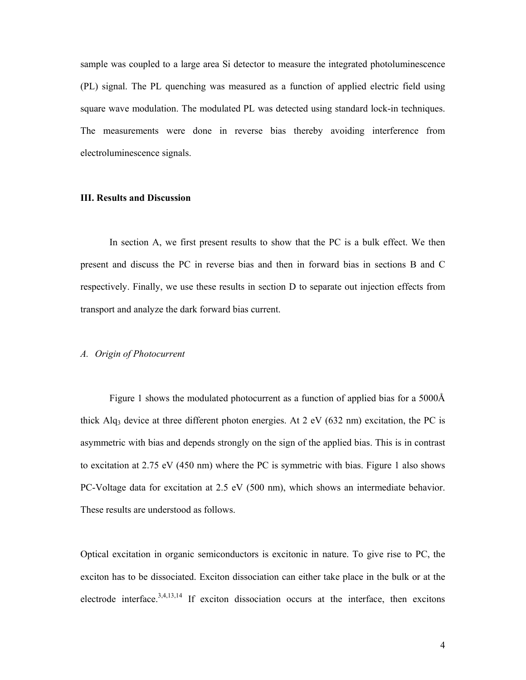sample was coupled to a large area Si detector to measure the integrated photoluminescence (PL) signal. The PL quenching was measured as a function of applied electric field using square wave modulation. The modulated PL was detected using standard lock-in techniques. The measurements were done in reverse bias thereby avoiding interference from electroluminescence signals.

# **III. Results and Discussion**

In section A, we first present results to show that the PC is a bulk effect. We then present and discuss the PC in reverse bias and then in forward bias in sections B and C respectively. Finally, we use these results in section D to separate out injection effects from transport and analyze the dark forward bias current.

## *A. Origin of Photocurrent*

Figure 1 shows the modulated photocurrent as a function of applied bias for a 5000Å thick Alq<sub>3</sub> device at three different photon energies. At 2 eV (632 nm) excitation, the PC is asymmetric with bias and depends strongly on the sign of the applied bias. This is in contrast to excitation at 2.75 eV (450 nm) where the PC is symmetric with bias. Figure 1 also shows PC-Voltage data for excitation at 2.5 eV (500 nm), which shows an intermediate behavior. These results are understood as follows.

Optical excitation in organic semiconductors is excitonic in nature. To give rise to PC, the exciton has to be dissociated. Exciton dissociation can either take place in the bulk or at the electrode interface.<sup>3,4,13,14</sup> If exciton dissociation occurs at the interface, then excitons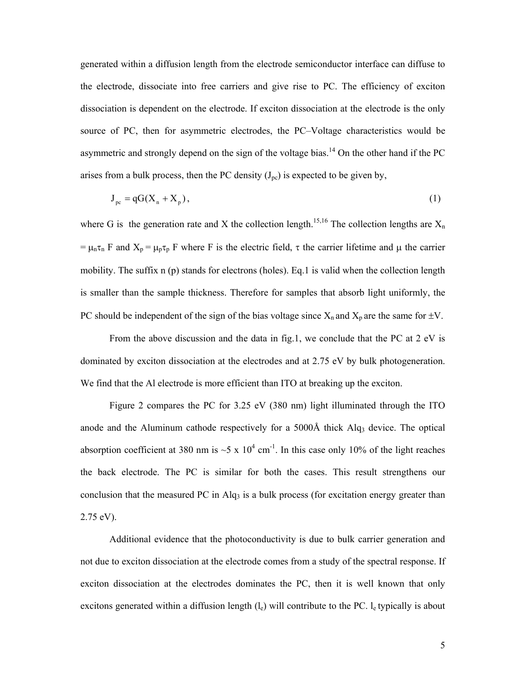generated within a diffusion length from the electrode semiconductor interface can diffuse to the electrode, dissociate into free carriers and give rise to PC. The efficiency of exciton dissociation is dependent on the electrode. If exciton dissociation at the electrode is the only source of PC, then for asymmetric electrodes, the PC–Voltage characteristics would be asymmetric and strongly depend on the sign of the voltage bias.<sup>14</sup> On the other hand if the PC arises from a bulk process, then the PC density  $(J_{pc})$  is expected to be given by,

$$
J_{pc} = qG(X_n + X_p),\tag{1}
$$

where G is the generation rate and X the collection length.<sup>15,16</sup> The collection lengths are  $X_n$ =  $\mu_n \tau_n$  F and  $X_p = \mu_p \tau_p$  F where F is the electric field,  $\tau$  the carrier lifetime and  $\mu$  the carrier mobility. The suffix n (p) stands for electrons (holes). Eq.1 is valid when the collection length is smaller than the sample thickness. Therefore for samples that absorb light uniformly, the PC should be independent of the sign of the bias voltage since  $X_n$  and  $X_p$  are the same for  $\pm V$ .

From the above discussion and the data in fig.1, we conclude that the PC at 2 eV is dominated by exciton dissociation at the electrodes and at 2.75 eV by bulk photogeneration. We find that the Al electrode is more efficient than ITO at breaking up the exciton.

Figure 2 compares the PC for 3.25 eV (380 nm) light illuminated through the ITO anode and the Aluminum cathode respectively for a  $5000\text{\AA}$  thick Alq<sub>3</sub> device. The optical absorption coefficient at 380 nm is  $\sim$ 5 x 10<sup>4</sup> cm<sup>-1</sup>. In this case only 10% of the light reaches the back electrode. The PC is similar for both the cases. This result strengthens our conclusion that the measured PC in  $\text{Alg}_3$  is a bulk process (for excitation energy greater than 2.75 eV).

Additional evidence that the photoconductivity is due to bulk carrier generation and not due to exciton dissociation at the electrode comes from a study of the spectral response. If exciton dissociation at the electrodes dominates the PC, then it is well known that only excitons generated within a diffusion length  $(l_e)$  will contribute to the PC.  $l_e$  typically is about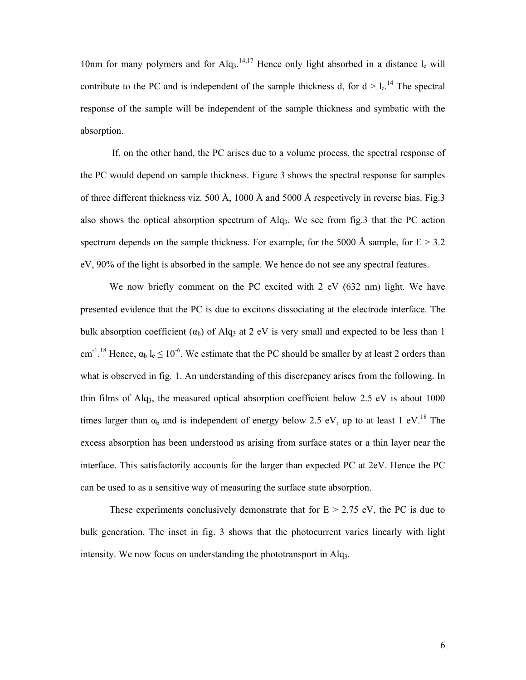10nm for many polymers and for  $Alq_3$ .<sup>14,17</sup> Hence only light absorbed in a distance  $l_e$  will contribute to the PC and is independent of the sample thickness d, for  $d > l_e$ <sup>14</sup> The spectral response of the sample will be independent of the sample thickness and symbatic with the absorption.

 If, on the other hand, the PC arises due to a volume process, the spectral response of the PC would depend on sample thickness. Figure 3 shows the spectral response for samples of three different thickness viz. 500 Å, 1000 Å and 5000 Å respectively in reverse bias. Fig.3 also shows the optical absorption spectrum of Alq<sub>3</sub>. We see from fig.3 that the PC action spectrum depends on the sample thickness. For example, for the 5000 Å sample, for  $E > 3.2$ eV, 90% of the light is absorbed in the sample. We hence do not see any spectral features.

We now briefly comment on the PC excited with 2 eV (632 nm) light. We have presented evidence that the PC is due to excitons dissociating at the electrode interface. The bulk absorption coefficient  $(\alpha_b)$  of Alq<sub>3</sub> at 2 eV is very small and expected to be less than 1 cm<sup>-1, 18</sup> Hence,  $\alpha_b$  l<sub>e</sub>  $\leq 10^{-6}$ . We estimate that the PC should be smaller by at least 2 orders than what is observed in fig. 1. An understanding of this discrepancy arises from the following. In thin films of Alq<sub>3</sub>, the measured optical absorption coefficient below 2.5 eV is about 1000 times larger than  $\alpha_b$  and is independent of energy below 2.5 eV, up to at least 1 eV.<sup>18</sup> The excess absorption has been understood as arising from surface states or a thin layer near the interface. This satisfactorily accounts for the larger than expected PC at 2eV. Hence the PC can be used to as a sensitive way of measuring the surface state absorption.

These experiments conclusively demonstrate that for  $E > 2.75$  eV, the PC is due to bulk generation. The inset in fig. 3 shows that the photocurrent varies linearly with light intensity. We now focus on understanding the phototransport in Alq3.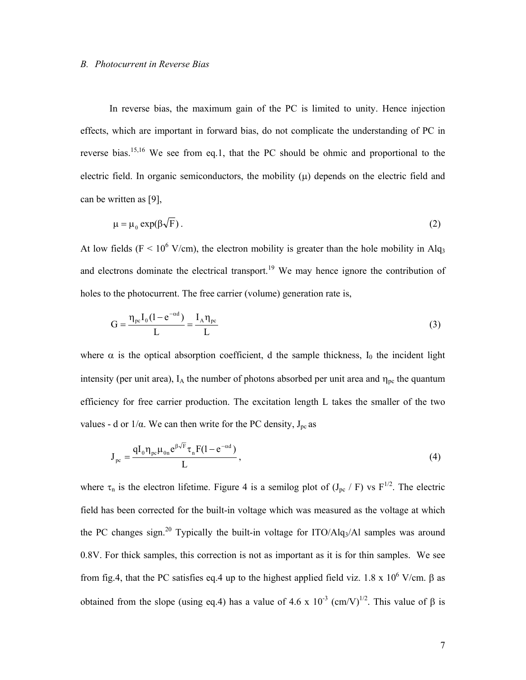#### *B. Photocurrent in Reverse Bias*

In reverse bias, the maximum gain of the PC is limited to unity. Hence injection effects, which are important in forward bias, do not complicate the understanding of PC in reverse bias.15,16 We see from eq.1, that the PC should be ohmic and proportional to the electric field. In organic semiconductors, the mobility  $(\mu)$  depends on the electric field and can be written as [9],

$$
\mu = \mu_0 \exp(\beta \sqrt{F}). \tag{2}
$$

At low fields ( $F < 10^6$  V/cm), the electron mobility is greater than the hole mobility in Alq<sub>3</sub> and electrons dominate the electrical transport.<sup>19</sup> We may hence ignore the contribution of holes to the photocurrent. The free carrier (volume) generation rate is,

$$
G = \frac{\eta_{pc} I_0 (1 - e^{-\alpha d})}{L} = \frac{I_A \eta_{pc}}{L}
$$
\n(3)

where  $\alpha$  is the optical absorption coefficient, d the sample thickness, I<sub>0</sub> the incident light intensity (per unit area),  $I_A$  the number of photons absorbed per unit area and  $\eta_{pc}$  the quantum efficiency for free carrier production. The excitation length L takes the smaller of the two values - d or  $1/α$ . We can then write for the PC density,  $J_{pc}$  as

$$
J_{pc} = \frac{qI_0 \eta_{pc} \mu_{0n} e^{\beta \sqrt{F}} \tau_n F(1 - e^{-\alpha d})}{L},
$$
\n(4)

where  $\tau_n$  is the electron lifetime. Figure 4 is a semilog plot of  $(J_{pc} / F)$  vs  $F^{1/2}$ . The electric field has been corrected for the built-in voltage which was measured as the voltage at which the PC changes sign.<sup>20</sup> Typically the built-in voltage for ITO/Alq<sub>3</sub>/Al samples was around 0.8V. For thick samples, this correction is not as important as it is for thin samples. We see from fig.4, that the PC satisfies eq.4 up to the highest applied field viz. 1.8 x  $10^6$  V/cm. β as obtained from the slope (using eq.4) has a value of 4.6 x  $10^{-3}$  (cm/V)<sup>1/2</sup>. This value of  $\beta$  is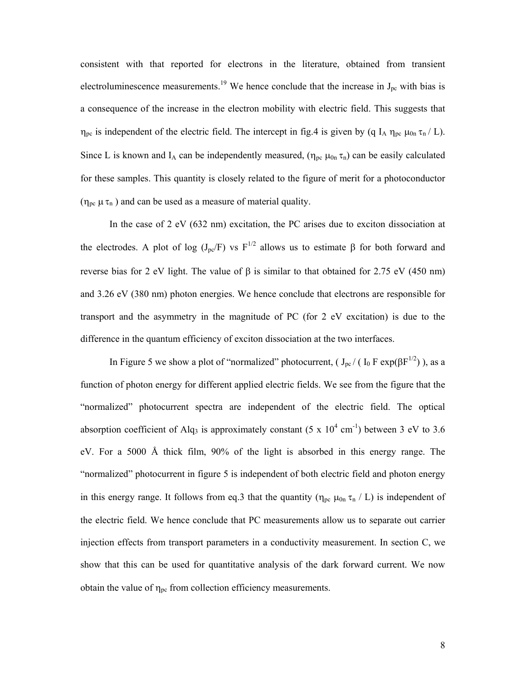consistent with that reported for electrons in the literature, obtained from transient electroluminescence measurements.<sup>19</sup> We hence conclude that the increase in  $J_{pc}$  with bias is a consequence of the increase in the electron mobility with electric field. This suggests that  $η_{pc}$  is independent of the electric field. The intercept in fig.4 is given by (q I<sub>A</sub>  $η_{pc}$  μ<sub>0n</sub> τ<sub>n</sub> / L). Since L is known and I<sub>A</sub> can be independently measured,  $(\eta_{pc} \mu_{0n} \tau_n)$  can be easily calculated for these samples. This quantity is closely related to the figure of merit for a photoconductor ( $\eta_{pc} \mu \tau_n$ ) and can be used as a measure of material quality.

In the case of 2 eV (632 nm) excitation, the PC arises due to exciton dissociation at the electrodes. A plot of log (J<sub>pc</sub>/F) vs F<sup>1/2</sup> allows us to estimate  $\beta$  for both forward and reverse bias for 2 eV light. The value of  $\beta$  is similar to that obtained for 2.75 eV (450 nm) and 3.26 eV (380 nm) photon energies. We hence conclude that electrons are responsible for transport and the asymmetry in the magnitude of PC (for 2 eV excitation) is due to the difference in the quantum efficiency of exciton dissociation at the two interfaces.

In Figure 5 we show a plot of "normalized" photocurrent, ( $J_{\text{pc}}/$  ( $I_0$  F exp( $\beta$ F<sup>1/2</sup>)), as a function of photon energy for different applied electric fields. We see from the figure that the "normalized" photocurrent spectra are independent of the electric field. The optical absorption coefficient of Alq<sub>3</sub> is approximately constant  $(5 \times 10^4 \text{ cm}^{-1})$  between 3 eV to 3.6 eV. For a 5000 Å thick film, 90% of the light is absorbed in this energy range. The "normalized" photocurrent in figure 5 is independent of both electric field and photon energy in this energy range. It follows from eq.3 that the quantity ( $\eta_{pc} \mu_{0n} \tau_n / L$ ) is independent of the electric field. We hence conclude that PC measurements allow us to separate out carrier injection effects from transport parameters in a conductivity measurement. In section C, we show that this can be used for quantitative analysis of the dark forward current. We now obtain the value of  $\eta_{pc}$  from collection efficiency measurements.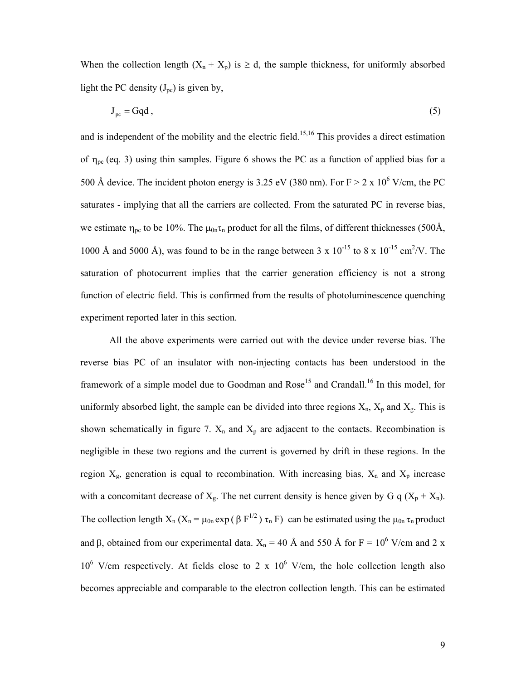When the collection length  $(X_n + X_p)$  is  $\ge d$ , the sample thickness, for uniformly absorbed light the PC density  $(J_{pc})$  is given by,

$$
J_{pc} = Gqd, \qquad (5)
$$

and is independent of the mobility and the electric field.<sup>15,16</sup> This provides a direct estimation of  $\eta_{pc}$  (eq. 3) using thin samples. Figure 6 shows the PC as a function of applied bias for a 500 Å device. The incident photon energy is 3.25 eV (380 nm). For  $F > 2 \times 10^6$  V/cm, the PC saturates - implying that all the carriers are collected. From the saturated PC in reverse bias, we estimate  $\eta_{pc}$  to be 10%. The  $\mu_{0n}\tau_n$  product for all the films, of different thicknesses (500Å, 1000 Å and 5000 Å), was found to be in the range between 3 x  $10^{-15}$  to 8 x  $10^{-15}$  cm<sup>2</sup>/V. The saturation of photocurrent implies that the carrier generation efficiency is not a strong function of electric field. This is confirmed from the results of photoluminescence quenching experiment reported later in this section.

All the above experiments were carried out with the device under reverse bias. The reverse bias PC of an insulator with non-injecting contacts has been understood in the framework of a simple model due to Goodman and Rose<sup>15</sup> and Crandall.<sup>16</sup> In this model, for uniformly absorbed light, the sample can be divided into three regions  $X_n$ ,  $X_p$  and  $X_g$ . This is shown schematically in figure 7.  $X_n$  and  $X_p$  are adjacent to the contacts. Recombination is negligible in these two regions and the current is governed by drift in these regions. In the region  $X_g$ , generation is equal to recombination. With increasing bias,  $X_n$  and  $X_p$  increase with a concomitant decrease of  $X_g$ . The net current density is hence given by G q  $(X_p + X_n)$ . The collection length  $X_n$  ( $X_n = \mu_{0n} \exp(\beta F^{1/2}) \tau_n F$ ) can be estimated using the  $\mu_{0n} \tau_n$  product and  $\beta$ , obtained from our experimental data.  $X_n = 40 \text{ Å}$  and 550 Å for F = 10<sup>6</sup> V/cm and 2 x  $10^6$  V/cm respectively. At fields close to 2 x  $10^6$  V/cm, the hole collection length also becomes appreciable and comparable to the electron collection length. This can be estimated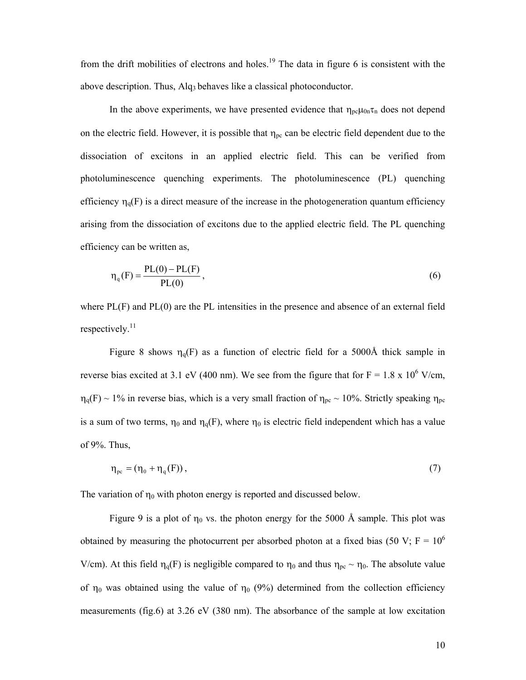from the drift mobilities of electrons and holes.<sup>19</sup> The data in figure 6 is consistent with the above description. Thus, Alq3 behaves like a classical photoconductor.

In the above experiments, we have presented evidence that  $\eta_{pc}\mu_{0n}\tau_n$  does not depend on the electric field. However, it is possible that  $\eta_{pc}$  can be electric field dependent due to the dissociation of excitons in an applied electric field. This can be verified from photoluminescence quenching experiments. The photoluminescence (PL) quenching efficiency  $\eta_q(F)$  is a direct measure of the increase in the photogeneration quantum efficiency arising from the dissociation of excitons due to the applied electric field. The PL quenching efficiency can be written as,

$$
\eta_{q}(F) = \frac{PL(0) - PL(F)}{PL(0)},
$$
\n(6)

where PL(F) and PL(0) are the PL intensities in the presence and absence of an external field respectively.<sup>11</sup>

Figure 8 shows  $\eta_q(F)$  as a function of electric field for a 5000Å thick sample in reverse bias excited at 3.1 eV (400 nm). We see from the figure that for  $F = 1.8 \times 10^6$  V/cm,  $\eta_q(F) \sim 1\%$  in reverse bias, which is a very small fraction of  $\eta_{pc} \sim 10\%$ . Strictly speaking  $\eta_{pc}$ is a sum of two terms,  $\eta_0$  and  $\eta_0(F)$ , where  $\eta_0$  is electric field independent which has a value of 9%. Thus,

$$
\eta_{pc} = (\eta_0 + \eta_q(F)),\tag{7}
$$

The variation of  $\eta_0$  with photon energy is reported and discussed below.

Figure 9 is a plot of  $\eta_0$  vs. the photon energy for the 5000 Å sample. This plot was obtained by measuring the photocurrent per absorbed photon at a fixed bias (50 V;  $F = 10^6$ ) V/cm). At this field  $\eta_q(F)$  is negligible compared to  $\eta_0$  and thus  $\eta_{pc} \sim \eta_0$ . The absolute value of  $η_0$  was obtained using the value of  $η_0$  (9%) determined from the collection efficiency measurements (fig.6) at 3.26 eV (380 nm). The absorbance of the sample at low excitation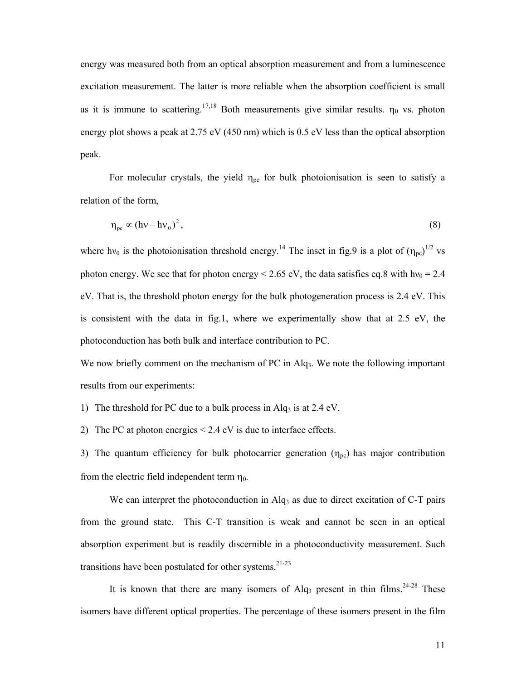energy was measured both from an optical absorption measurement and from a luminescence excitation measurement. The latter is more reliable when the absorption coefficient is small as it is immune to scattering.<sup>17,18</sup> Both measurements give similar results.  $\eta_0$  vs. photon energy plot shows a peak at 2.75 eV (450 nm) which is 0.5 eV less than the optical absorption peak.

For molecular crystals, the yield  $\eta_{pc}$  for bulk photoionisation is seen to satisfy a relation of the form,

$$
\eta_{\rm pc} \propto (h\nu - h\nu_0)^2, \tag{8}
$$

where hv<sub>0</sub> is the photoionisation threshold energy.<sup>14</sup> The inset in fig.9 is a plot of  $(\eta_{\text{pe}})^{1/2}$  vs photon energy. We see that for photon energy  $\leq 2.65$  eV, the data satisfies eq.8 with hv<sub>0</sub> = 2.4 eV. That is, the threshold photon energy for the bulk photogeneration process is 2.4 eV. This is consistent with the data in fig.1, where we experimentally show that at 2.5 eV, the photoconduction has both bulk and interface contribution to PC.

We now briefly comment on the mechanism of PC in Alq<sub>3</sub>. We note the following important results from our experiments:

1) The threshold for PC due to a bulk process in Alq<sub>3</sub> is at  $2.4 \text{ eV}$ .

2) The PC at photon energies < 2.4 eV is due to interface effects.

3) The quantum efficiency for bulk photocarrier generation  $(\eta_{pc})$  has major contribution from the electric field independent term  $\eta_0$ .

We can interpret the photoconduction in  $\text{Alq}_3$  as due to direct excitation of C-T pairs from the ground state. This C-T transition is weak and cannot be seen in an optical absorption experiment but is readily discernible in a photoconductivity measurement. Such transitions have been postulated for other systems. $21-23$ 

It is known that there are many isomers of  $Alq_3$  present in thin films.<sup>24-28</sup> These isomers have different optical properties. The percentage of these isomers present in the film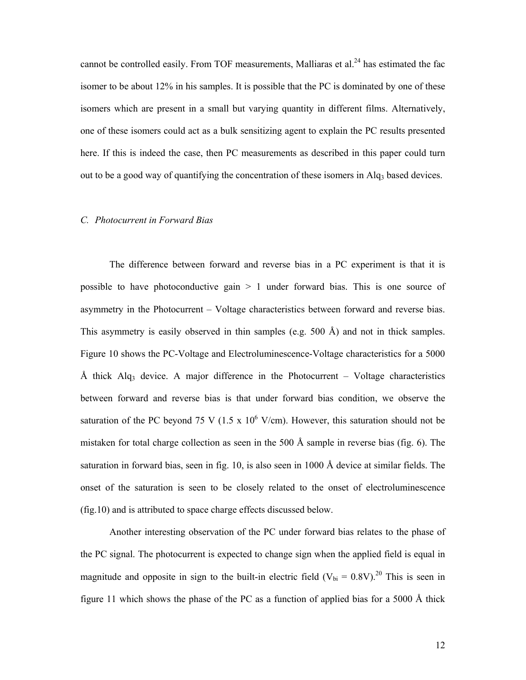cannot be controlled easily. From TOF measurements, Malliaras et al.<sup>24</sup> has estimated the fac isomer to be about 12% in his samples. It is possible that the PC is dominated by one of these isomers which are present in a small but varying quantity in different films. Alternatively, one of these isomers could act as a bulk sensitizing agent to explain the PC results presented here. If this is indeed the case, then PC measurements as described in this paper could turn out to be a good way of quantifying the concentration of these isomers in Alq<sub>3</sub> based devices.

## *C. Photocurrent in Forward Bias*

The difference between forward and reverse bias in a PC experiment is that it is possible to have photoconductive gain  $> 1$  under forward bias. This is one source of asymmetry in the Photocurrent – Voltage characteristics between forward and reverse bias. This asymmetry is easily observed in thin samples (e.g. 500 Å) and not in thick samples. Figure 10 shows the PC-Voltage and Electroluminescence-Voltage characteristics for a 5000 Å thick Alq<sub>3</sub> device. A major difference in the Photocurrent – Voltage characteristics between forward and reverse bias is that under forward bias condition, we observe the saturation of the PC beyond 75 V (1.5 x  $10^6$  V/cm). However, this saturation should not be mistaken for total charge collection as seen in the 500 Å sample in reverse bias (fig. 6). The saturation in forward bias, seen in fig. 10, is also seen in 1000 Å device at similar fields. The onset of the saturation is seen to be closely related to the onset of electroluminescence (fig.10) and is attributed to space charge effects discussed below.

Another interesting observation of the PC under forward bias relates to the phase of the PC signal. The photocurrent is expected to change sign when the applied field is equal in magnitude and opposite in sign to the built-in electric field  $(V_{bi} = 0.8 V)^{20}$  This is seen in figure 11 which shows the phase of the PC as a function of applied bias for a 5000 Å thick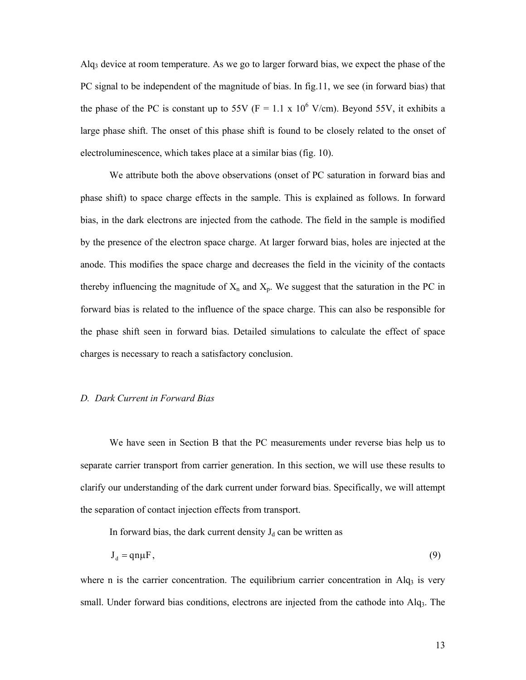Alq3 device at room temperature. As we go to larger forward bias, we expect the phase of the PC signal to be independent of the magnitude of bias. In fig.11, we see (in forward bias) that the phase of the PC is constant up to 55V ( $F = 1.1 \times 10^6$  V/cm). Beyond 55V, it exhibits a large phase shift. The onset of this phase shift is found to be closely related to the onset of electroluminescence, which takes place at a similar bias (fig. 10).

We attribute both the above observations (onset of PC saturation in forward bias and phase shift) to space charge effects in the sample. This is explained as follows. In forward bias, in the dark electrons are injected from the cathode. The field in the sample is modified by the presence of the electron space charge. At larger forward bias, holes are injected at the anode. This modifies the space charge and decreases the field in the vicinity of the contacts thereby influencing the magnitude of  $X_n$  and  $X_p$ . We suggest that the saturation in the PC in forward bias is related to the influence of the space charge. This can also be responsible for the phase shift seen in forward bias. Detailed simulations to calculate the effect of space charges is necessary to reach a satisfactory conclusion.

## *D. Dark Current in Forward Bias*

We have seen in Section B that the PC measurements under reverse bias help us to separate carrier transport from carrier generation. In this section, we will use these results to clarify our understanding of the dark current under forward bias. Specifically, we will attempt the separation of contact injection effects from transport.

In forward bias, the dark current density  $J_d$  can be written as

$$
J_d = qn\mu F, \tag{9}
$$

where n is the carrier concentration. The equilibrium carrier concentration in Alq<sub>3</sub> is very small. Under forward bias conditions, electrons are injected from the cathode into Alq<sub>3</sub>. The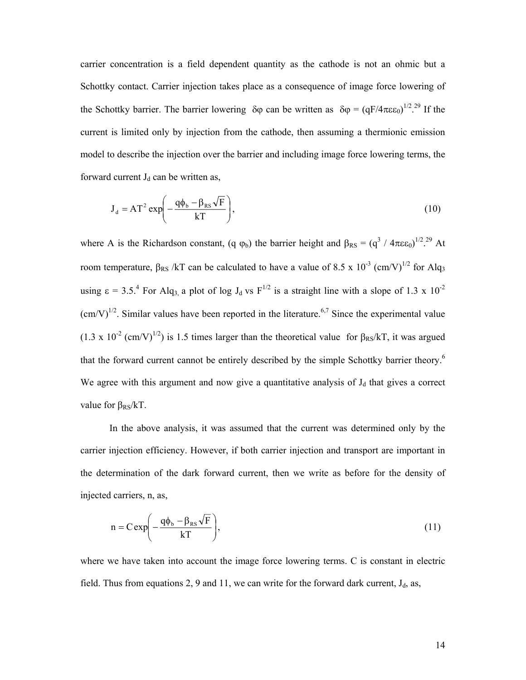carrier concentration is a field dependent quantity as the cathode is not an ohmic but a Schottky contact. Carrier injection takes place as a consequence of image force lowering of the Schottky barrier. The barrier lowering  $\delta\varphi$  can be written as  $\delta\varphi = (qF/4\pi\epsilon\epsilon_0)^{1/2}$ .<sup>29</sup> If the current is limited only by injection from the cathode, then assuming a thermionic emission model to describe the injection over the barrier and including image force lowering terms, the forward current  $J_d$  can be written as,

$$
\mathbf{J}_{\mathrm{d}} = \mathbf{A}\mathbf{T}^2 \exp\left(-\frac{\mathbf{q}\phi_{\mathrm{b}} - \beta_{\mathrm{RS}}\sqrt{\mathbf{F}}}{k\mathbf{T}}\right),\tag{10}
$$

where A is the Richardson constant, (q  $\varphi_b$ ) the barrier height and  $\beta_{RS} = (q^3 / 4\pi \epsilon_0)^{1/2}$ .<sup>29</sup> At room temperature, β<sub>RS</sub> /kT can be calculated to have a value of 8.5 x 10<sup>-3</sup> (cm/V)<sup>1/2</sup> for Alq<sub>3</sub> using  $\epsilon = 3.5$ .<sup>4</sup> For Alq<sub>3</sub>, a plot of log J<sub>d</sub> vs F<sup>1/2</sup> is a straight line with a slope of 1.3 x 10<sup>-2</sup>  $\text{(cm/V)}^{1/2}$ . Similar values have been reported in the literature.<sup>6,7</sup> Since the experimental value  $(1.3 \times 10^{-2} \text{ (cm/V)}^{1/2})$  is 1.5 times larger than the theoretical value for  $\beta_{\text{RS}}/kT$ , it was argued that the forward current cannot be entirely described by the simple Schottky barrier theory.<sup>6</sup> We agree with this argument and now give a quantitative analysis of  $J_d$  that gives a correct value for  $\beta_{RS}/kT$ .

In the above analysis, it was assumed that the current was determined only by the carrier injection efficiency. However, if both carrier injection and transport are important in the determination of the dark forward current, then we write as before for the density of injected carriers, n, as,

$$
n = C \exp\left(-\frac{q\phi_b - \beta_{RS}\sqrt{F}}{kT}\right),\tag{11}
$$

where we have taken into account the image force lowering terms. C is constant in electric field. Thus from equations 2, 9 and 11, we can write for the forward dark current,  $J_d$ , as,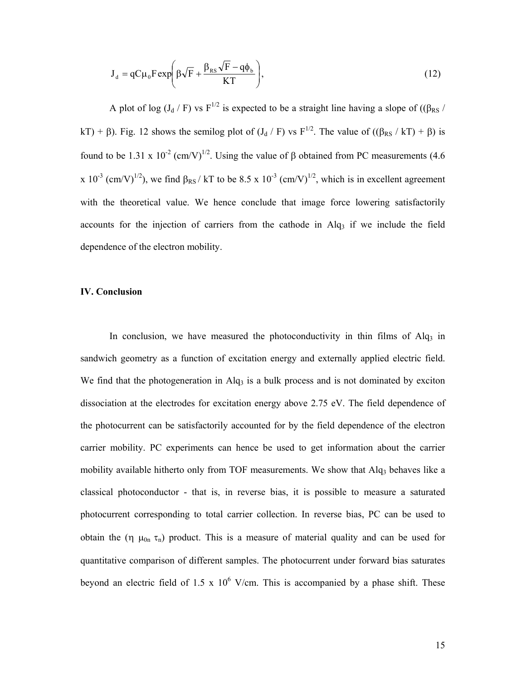$$
J_{d} = qC\mu_{0}F \exp\left(\beta\sqrt{F} + \frac{\beta_{RS}\sqrt{F} - q\phi_{b}}{KT}\right),
$$
\n(12)

A plot of log (J<sub>d</sub> / F) vs F<sup>1/2</sup> is expected to be a straight line having a slope of (( $\beta_{RS}$  / kT) + β). Fig. 12 shows the semilog plot of  $(J_d / F)$  vs  $F^{1/2}$ . The value of  $((\beta_{RS} / kT) + \beta)$  is found to be 1.31 x 10<sup>-2</sup> (cm/V)<sup>1/2</sup>. Using the value of β obtained from PC measurements (4.6 x 10<sup>-3</sup> (cm/V)<sup>1/2</sup>), we find  $\beta_{RS}$  / kT to be 8.5 x 10<sup>-3</sup> (cm/V)<sup>1/2</sup>, which is in excellent agreement with the theoretical value. We hence conclude that image force lowering satisfactorily accounts for the injection of carriers from the cathode in  $\text{Alg}_3$  if we include the field dependence of the electron mobility.

## **IV. Conclusion**

In conclusion, we have measured the photoconductivity in thin films of  $\text{Alg}_3$  in sandwich geometry as a function of excitation energy and externally applied electric field. We find that the photogeneration in Alq<sub>3</sub> is a bulk process and is not dominated by exciton dissociation at the electrodes for excitation energy above 2.75 eV. The field dependence of the photocurrent can be satisfactorily accounted for by the field dependence of the electron carrier mobility. PC experiments can hence be used to get information about the carrier mobility available hitherto only from TOF measurements. We show that  $\text{Alg}_3$  behaves like a classical photoconductor - that is, in reverse bias, it is possible to measure a saturated photocurrent corresponding to total carrier collection. In reverse bias, PC can be used to obtain the (η  $\mu_{0n} \tau_n$ ) product. This is a measure of material quality and can be used for quantitative comparison of different samples. The photocurrent under forward bias saturates beyond an electric field of 1.5 x  $10^6$  V/cm. This is accompanied by a phase shift. These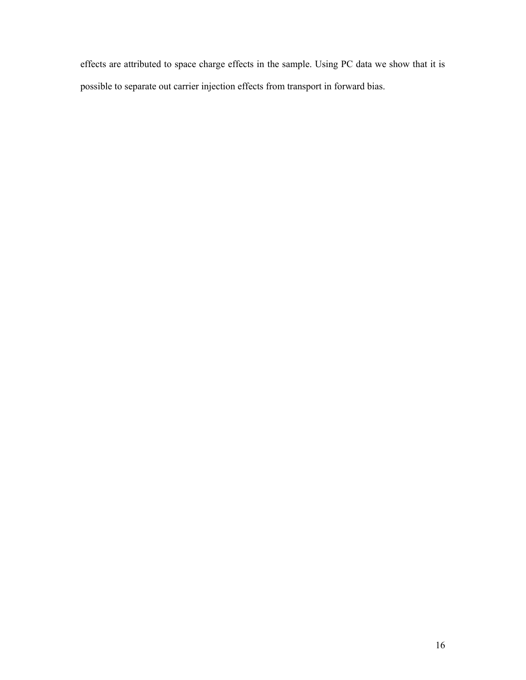effects are attributed to space charge effects in the sample. Using PC data we show that it is possible to separate out carrier injection effects from transport in forward bias.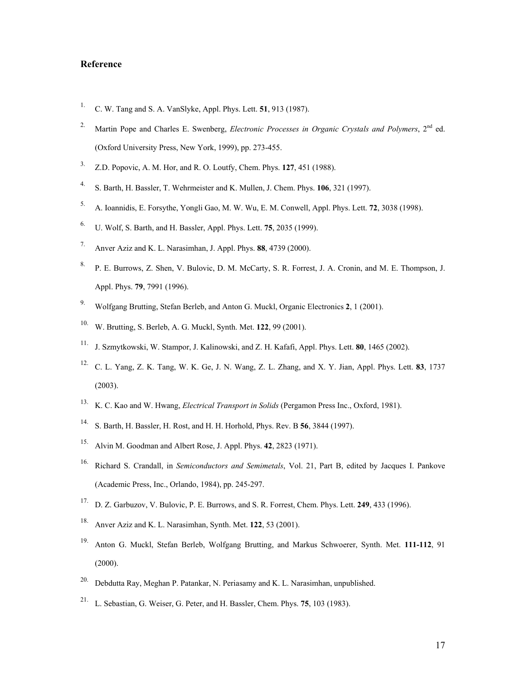# **Reference**

- 1. C. W. Tang and S. A. VanSlyke, Appl. Phys. Lett. **51**, 913 (1987).
- <sup>2.</sup> Martin Pope and Charles E. Swenberg, *Electronic Processes in Organic Crystals and Polymers*, 2<sup>nd</sup> ed. (Oxford University Press, New York, 1999), pp. 273-455.
- 3. Z.D. Popovic, A. M. Hor, and R. O. Loutfy, Chem. Phys. **127**, 451 (1988).
- 4. S. Barth, H. Bassler, T. Wehrmeister and K. Mullen, J. Chem. Phys. **106**, 321 (1997).
- 5. A. Ioannidis, E. Forsythe, Yongli Gao, M. W. Wu, E. M. Conwell, Appl. Phys. Lett. **72**, 3038 (1998).
- 6. U. Wolf, S. Barth, and H. Bassler, Appl. Phys. Lett. **75**, 2035 (1999).
- 7. Anver Aziz and K. L. Narasimhan, J. Appl. Phys. **88**, 4739 (2000).
- 8. P. E. Burrows, Z. Shen, V. Bulovic, D. M. McCarty, S. R. Forrest, J. A. Cronin, and M. E. Thompson, J. Appl. Phys. **79**, 7991 (1996).
- 9. Wolfgang Brutting, Stefan Berleb, and Anton G. Muckl, Organic Electronics **2**, 1 (2001).
- 10. W. Brutting, S. Berleb, A. G. Muckl, Synth. Met. **122**, 99 (2001).
- 11. J. Szmytkowski, W. Stampor, J. Kalinowski, and Z. H. Kafafi, Appl. Phys. Lett. **80**, 1465 (2002).
- 12. C. L. Yang, Z. K. Tang, W. K. Ge, J. N. Wang, Z. L. Zhang, and X. Y. Jian, Appl. Phys. Lett. **83**, 1737 (2003).
- 13. K. C. Kao and W. Hwang, *Electrical Transport in Solids* (Pergamon Press Inc., Oxford, 1981).
- 14. S. Barth, H. Bassler, H. Rost, and H. H. Horhold, Phys. Rev. B **56**, 3844 (1997).
- 15. Alvin M. Goodman and Albert Rose, J. Appl. Phys. **42**, 2823 (1971).
- 16. Richard S. Crandall, in *Semiconductors and Semimetals*, Vol. 21, Part B, edited by Jacques I. Pankove (Academic Press, Inc., Orlando, 1984), pp. 245-297.
- 17. D. Z. Garbuzov, V. Bulovic, P. E. Burrows, and S. R. Forrest, Chem. Phys. Lett. **249**, 433 (1996).
- 18. Anver Aziz and K. L. Narasimhan, Synth. Met. **122**, 53 (2001).
- 19. Anton G. Muckl, Stefan Berleb, Wolfgang Brutting, and Markus Schwoerer, Synth. Met. **111-112**, 91 (2000).
- 20. Debdutta Ray, Meghan P. Patankar, N. Periasamy and K. L. Narasimhan, unpublished.
- 21. L. Sebastian, G. Weiser, G. Peter, and H. Bassler, Chem. Phys. **75**, 103 (1983).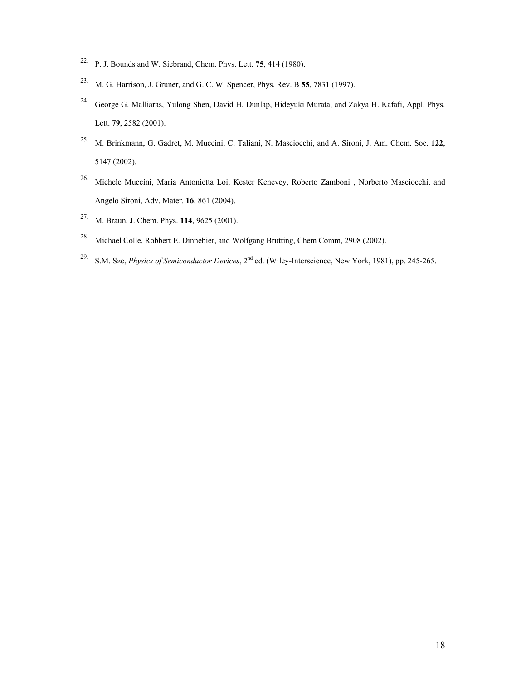- 22. P. J. Bounds and W. Siebrand, Chem. Phys. Lett. **75**, 414 (1980).
- 23. M. G. Harrison, J. Gruner, and G. C. W. Spencer, Phys. Rev. B **55**, 7831 (1997).
- 24. George G. Malliaras, Yulong Shen, David H. Dunlap, Hideyuki Murata, and Zakya H. Kafafi, Appl. Phys. Lett. **79**, 2582 (2001).
- 25. M. Brinkmann, G. Gadret, M. Muccini, C. Taliani, N. Masciocchi, and A. Sironi, J. Am. Chem. Soc. **122**, 5147 (2002).
- 26. Michele Muccini, Maria Antonietta Loi, Kester Kenevey, Roberto Zamboni , Norberto Masciocchi, and Angelo Sironi, Adv. Mater. **16**, 861 (2004).
- 27. M. Braun, J. Chem. Phys. **114**, 9625 (2001).
- 28. Michael Colle, Robbert E. Dinnebier, and Wolfgang Brutting, Chem Comm, 2908 (2002).
- 29. S.M. Sze, *Physics of Semiconductor Devices*, 2nd ed. (Wiley-Interscience, New York, 1981), pp. 245-265.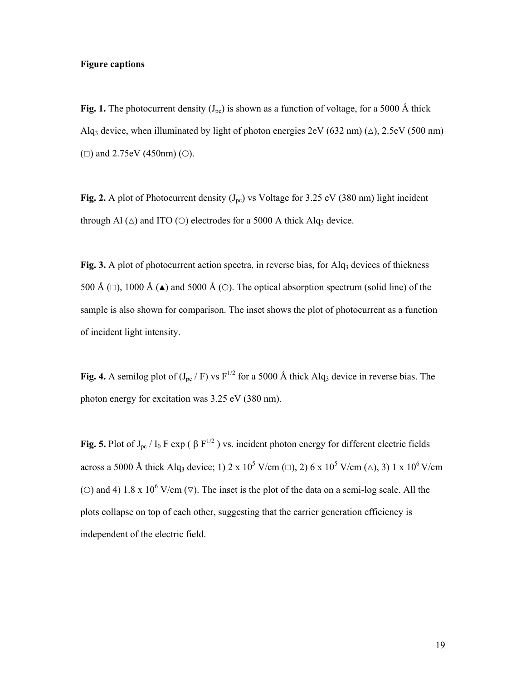## **Figure captions**

Fig. 1. The photocurrent density  $(J_{pc})$  is shown as a function of voltage, for a 5000 Å thick Alq<sub>3</sub> device, when illuminated by light of photon energies  $2eV (632 nm) (\triangle)$ ,  $2.5eV (500 nm)$ ( $\Box$ ) and 2.75eV (450nm) ( $\odot$ ).

Fig. 2. A plot of Photocurrent density  $(J_{pc})$  vs Voltage for 3.25 eV (380 nm) light incident through Al  $(\triangle)$  and ITO ( $\circ$ ) electrodes for a 5000 A thick Alq<sub>3</sub> device.

Fig. 3. A plot of photocurrent action spectra, in reverse bias, for Alq<sub>3</sub> devices of thickness 500 Å ( $\Box$ ), 1000 Å ( $\triangle$ ) and 5000 Å ( $\odot$ ). The optical absorption spectrum (solid line) of the sample is also shown for comparison. The inset shows the plot of photocurrent as a function of incident light intensity.

**Fig. 4.** A semilog plot of  $(J_{pc} / F)$  vs  $F^{1/2}$  for a 5000 Å thick Alq<sub>3</sub> device in reverse bias. The photon energy for excitation was 3.25 eV (380 nm).

**Fig. 5.** Plot of  $J_{pc}$  /  $I_0$  F exp ( $\beta$  F<sup>1/2</sup>) vs. incident photon energy for different electric fields across a 5000 Å thick Alq<sub>3</sub> device; 1) 2 x 10<sup>5</sup> V/cm ( $\Box$ ), 2) 6 x 10<sup>5</sup> V/cm ( $\triangle$ ), 3) 1 x 10<sup>6</sup> V/cm (O) and 4) 1.8 x 10<sup>6</sup> V/cm ( $\nabla$ ). The inset is the plot of the data on a semi-log scale. All the plots collapse on top of each other, suggesting that the carrier generation efficiency is independent of the electric field.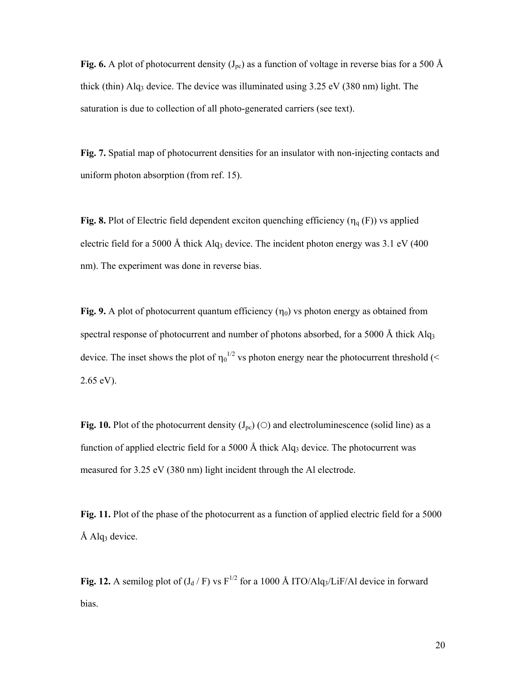**Fig. 6.** A plot of photocurrent density  $(J_{pc})$  as a function of voltage in reverse bias for a 500 Å thick (thin) Alq<sub>3</sub> device. The device was illuminated using  $3.25$  eV ( $380$  nm) light. The saturation is due to collection of all photo-generated carriers (see text).

**Fig. 7.** Spatial map of photocurrent densities for an insulator with non-injecting contacts and uniform photon absorption (from ref. 15).

**Fig. 8.** Plot of Electric field dependent exciton quenching efficiency  $(\eta_q(F))$  vs applied electric field for a 5000 Å thick Alq<sub>3</sub> device. The incident photon energy was 3.1 eV (400) nm). The experiment was done in reverse bias.

**Fig. 9.** A plot of photocurrent quantum efficiency  $(\eta_0)$  vs photon energy as obtained from spectral response of photocurrent and number of photons absorbed, for a 5000 Å thick  $Alg<sub>3</sub>$ device. The inset shows the plot of  $\eta_0^{1/2}$  vs photon energy near the photocurrent threshold (< 2.65 eV).

**Fig. 10.** Plot of the photocurrent density  $(J_{pc})$  ( $\bigcirc$ ) and electroluminescence (solid line) as a function of applied electric field for a 5000 Å thick Alq<sub>3</sub> device. The photocurrent was measured for 3.25 eV (380 nm) light incident through the Al electrode.

**Fig. 11.** Plot of the phase of the photocurrent as a function of applied electric field for a 5000  $\AA$  Alq<sub>3</sub> device.

**Fig. 12.** A semilog plot of  $(J_d / F)$  vs  $F^{1/2}$  for a 1000 Å ITO/Alq<sub>3</sub>/LiF/Al device in forward bias.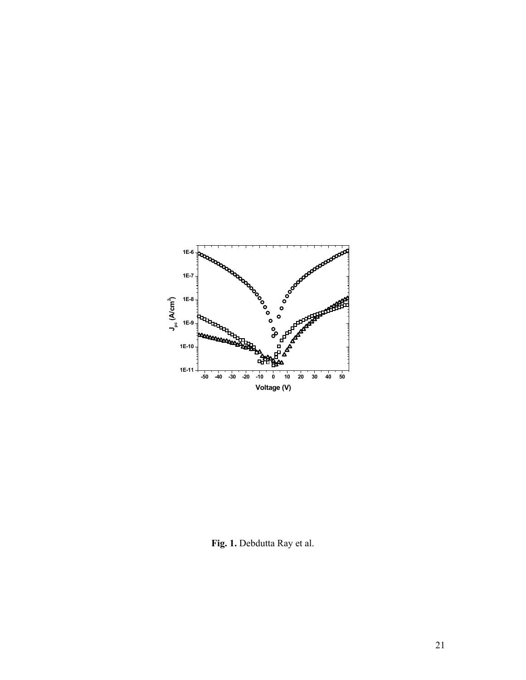

**Fig. 1.** Debdutta Ray et al.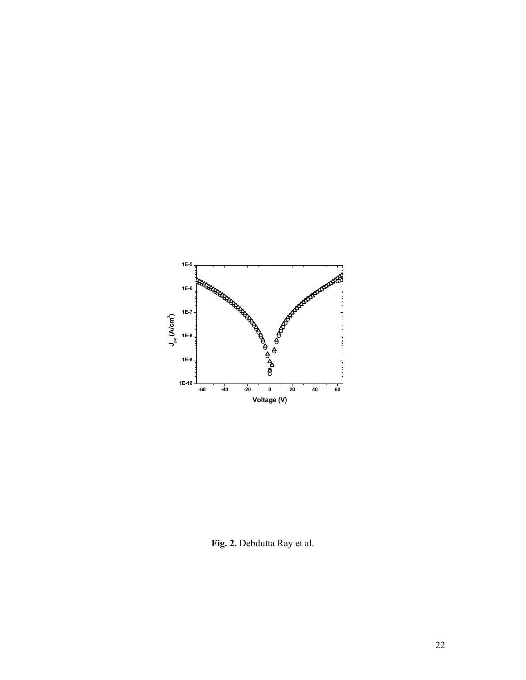

**Fig. 2.** Debdutta Ray et al.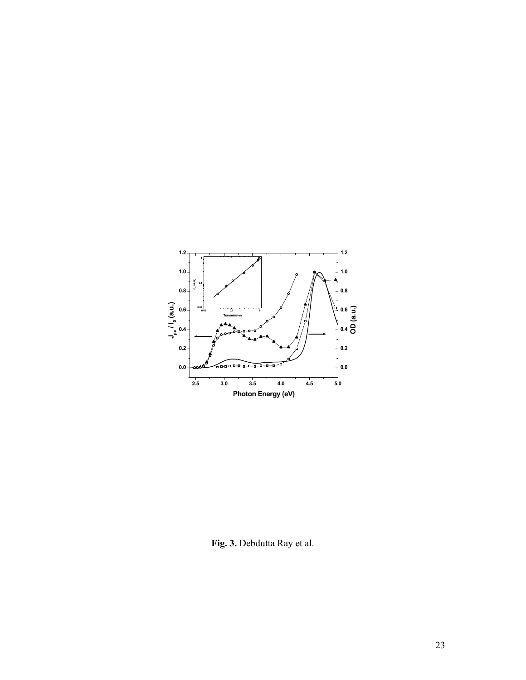

**Fig. 3.** Debdutta Ray et al.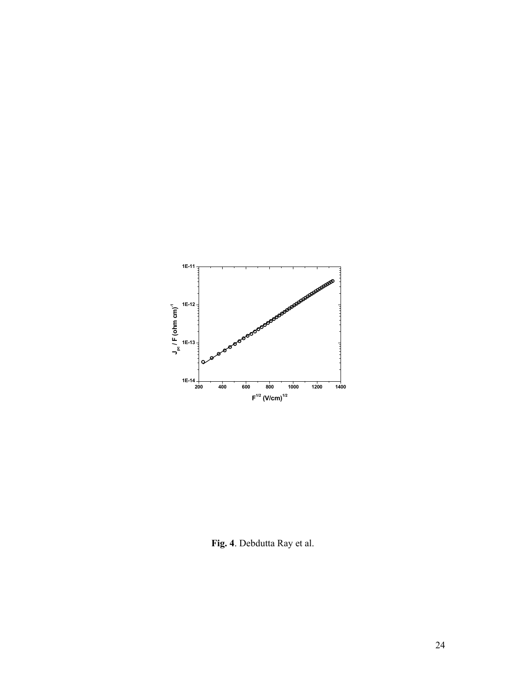

**Fig. 4**. Debdutta Ray et al.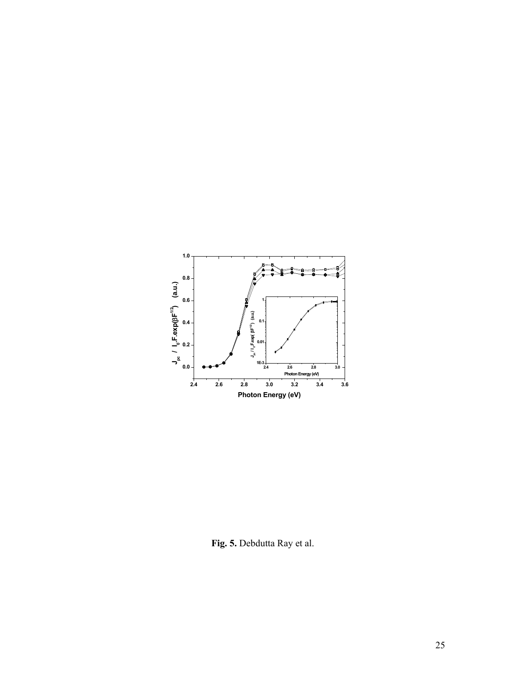

**Fig. 5.** Debdutta Ray et al.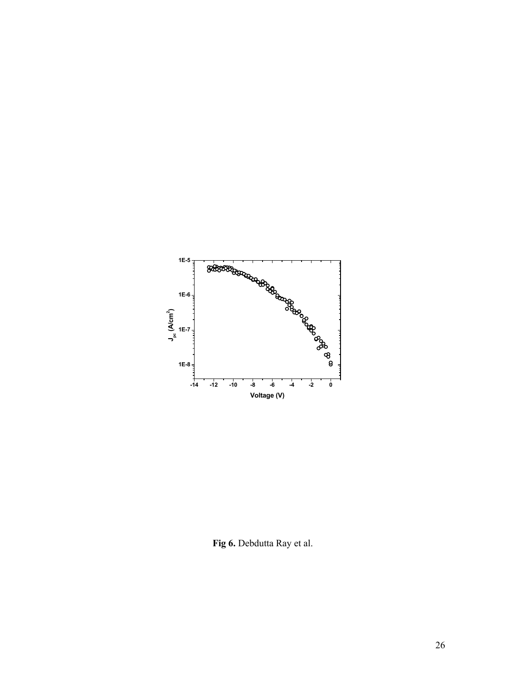

**Fig 6.** Debdutta Ray et al.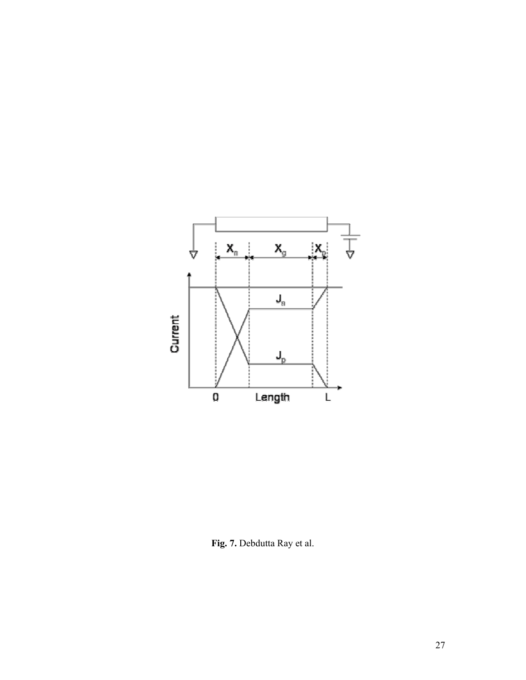

**Fig. 7.** Debdutta Ray et al.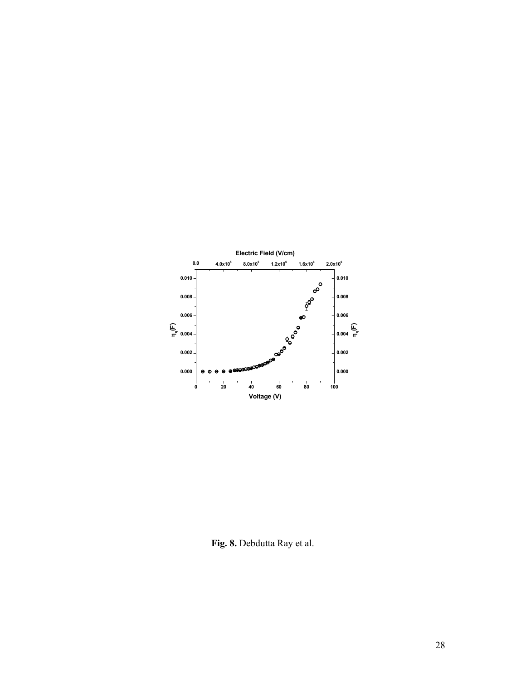

**Fig. 8.** Debdutta Ray et al.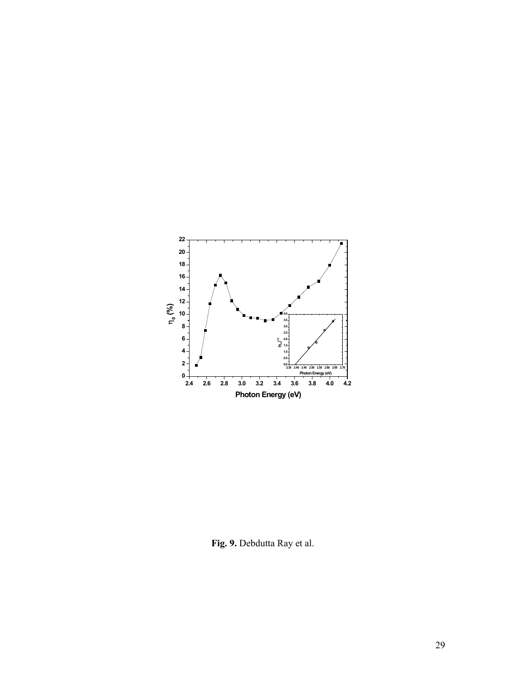

**Fig. 9.** Debdutta Ray et al.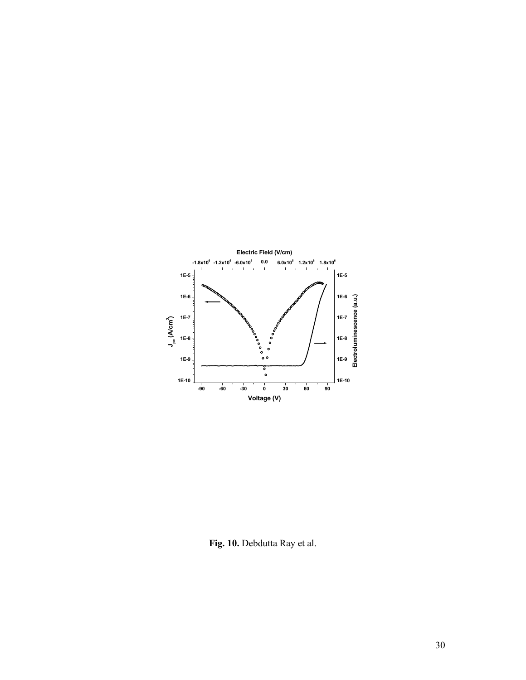

**Fig. 10.** Debdutta Ray et al.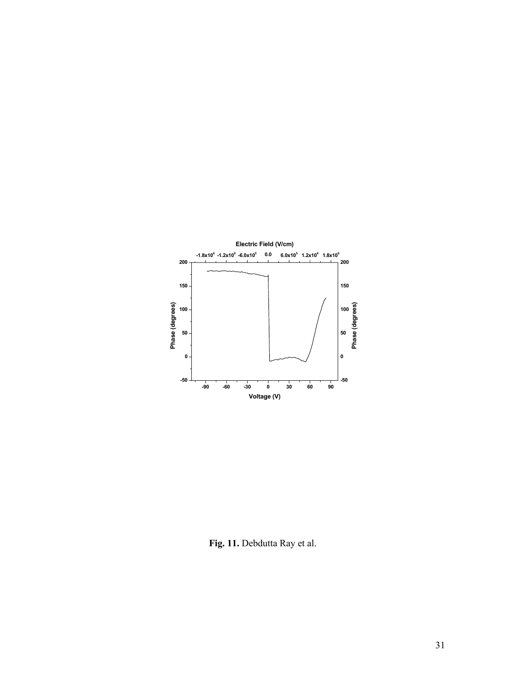

**Fig. 11.** Debdutta Ray et al.